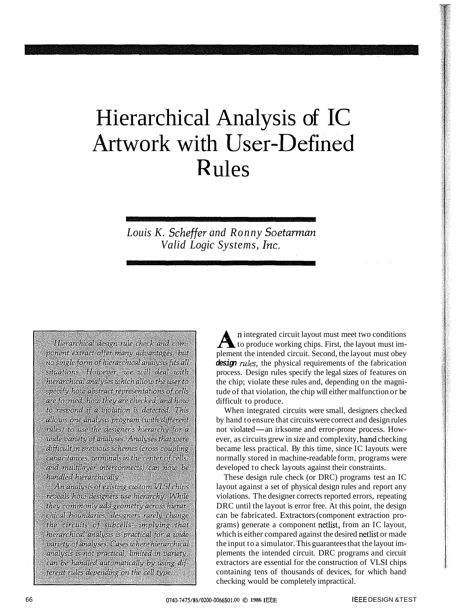# Hierarchical Analysis of IC Artwork with User-Defined Rules

*Louis K. Scheffer and Ronny Soetaman Valid Logic Systems, Inc.* 

Hierarchical design rule check and component extract offer many advantages, but no single form of hierarchical analysis fits all situations. However, we will deal with hierarchical analyses which allow the user to specify how abstract representations of cells are formed, how they are checked, and how to respond if a violation is detected. This allows one analysis program (with different) rules) to use the designer's hierarchy for a wide variety of analyses. Analyses that were difficult in previous schemes (cross-coupling capacitances, terminals in the center of cells, and multilayer interconnects) can now be handled hierarchically.

An analysis of existing custom VLSI chips reveals how designers use hierarchy, While they commonly add geometry across hierarchical boundaries, designers rarely change the circuits of subcells-implying that hierarchical analysis is practical for a wide. variety of analyses. Cases where hierarchical analysis is not practical, limited in variety, can be handled automatically by using different rules depending on the cell type.

n integrated circuit layout must meet two conditions to produce working chips. First, the layout must implement the intended circuit. Second, the layout must obey **design** *rules,* the physical requirements of the fabrication process. Design rules specify the legal sizes of features on the chip; violate these rules and, depending on the magnitude of that violation, the chip will either malfunction or be difficult to produce.

When integrated circuits were small, designers checked by hand to ensure that circuits were correct and design rules not violated-an irksome and error-prone process. However, as circuits grew in size and complexity, hand checking became less practical. By this time, since IC Iayouts were normally stored in machine-readable form, programs were developed to check layouts against their constraints.

These design rule check (or DRC) programs test an IC layout against a set of physical design rules and report any violations. The designer corrects reported errors, repeating DRC until the layout is error free. At this point, the design can be fabricated. Extractors (component extraction programs) generate a component netlist, from an IC layout, which is either compared against the desired netlist or made the input to a simulator. This guarantees that the layout implements the intended circuit. DRC programs and circuit extractors are essential for the construction of VLSI chips containing tens of thousands of devices, for which hand checking would be completely impractical.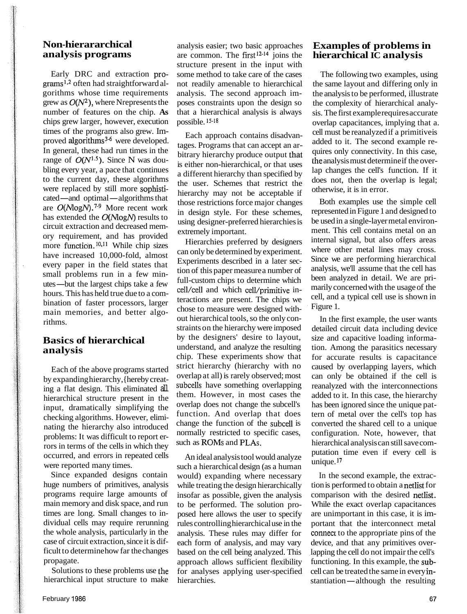#### **Non-hierararchical analysis programs**

Early DRC and extraction programs<sup>1,2</sup> often had straightforward algorithms whose time requirements grew as  $O(N^2)$ , where Nrepresents the number of features on the chip. **As**  chips grew larger, however, execution times of the programs also grew. Improved algorithms<sup>3-6</sup> were developed. In general, these had run times in the range of  $O(N^{1.5})$ . Since N was doubling every year, a pace that continues to the current day, these algorithms were replaced by still more sophistito the current day, these algorithms<br>were replaced by still more sophisticated—and optimal—algorithms that<br>are  $O(\lambda \log \lambda)$   $^{79}$  More recent work are  $O(N \log N)^{7-9}$  More recent work has extended the O(NlogN) results to circuit extraction and decreased memory requirement, and has provided more function.<sup>10,11</sup> While chip sizes have increased 10,000-fold, almost every paper in the field states that small problems run in a few minevery paper in the field states that<br>small problems run in a few min-<br>utes—but the largest chips take a few<br>hours. This has hald two duate a sem hours. This has held true due to a combination of faster processors, larger main memories, and better algorithms.

#### **Basics of hierarchical analysis**

Each of the above programs started by expanding hierarchy, {hereby creating a flat design. This eliminated all hierarchical structure present in the input, dramatically simplifying the checking algorithms. However, eliminating the hierarchy also introduced problems: It was difficult to report errors in terms of the cells in which they occurred, and errors in repeated cells were reported many times.

Since expanded designs contain huge numbers of primitives, analysis programs require large amounts of main memory and disk space, and run times are long. Small changes to individual cells may require rerunning the whole analysis, particularly in the case of circuit extraction, since it is difficult to determine how far the changes propagate.

Solutions to these problems use the hierarchical input structure to make

analysis easier; two basic approaches are common. The first<sup>12-14</sup> joins the structure present in the input with some method to take care of the cases not readily amenable to hierarchical analysis. The second approach imposes constraints upon the design so that a hierarchical analysis is always possible.<sup>15-18</sup>

Each approach contains disadvantages. Programs that can accept an arbitrary hierarchy produce output that is either non-hierarchical, or that uses a different hierarchy than specified by the user. Schemes that restrict the hierarchy may not be acceptable if those restrictions force major changes in design style. For these schemes, using designer-preferred hierarchies is extremely important.

Hierarchies preferred by designers can only be determined by experiment. Experiments described in a later section of this paper measure a number of full-custom chips to determine which cell/cell and which cell/primitive interactions are present. The chips we chose to measure were designed without hierarchical tools, so the only constraints on the hierarchy were imposed by the designers' desire to layout, understand, and analyze the resulting chip. These experiments show that strict hierarchy (hierarchy with no overlap at all) is rarely observed; most subcells have something overlapping them. However, in most cases the overlap does not change the subcell's function. And overlap that does change the function of the subcell is normally restricted to specific cases, such as ROMs and PLAs.

An ideal analysis tool would analyze such a hierarchical design (as a human would) expanding where necessary while treating the design hierarchically insofar as possible, given the analysis to be performed. The solution proposed here allows the user to specify rules controlling hierarchical use in the analysis. These rules may differ for each form of analysis, and may vary based on the cell being analyzed. This approach allows sufficient flexibility for analyses applying user-specified hierarchies.

### **Examples of problems in hierarchical IC analysis**

The following two examples, using the same layout and differing only in the analysis to be performed, illustrate the complexity of hierarchical analysis. The first example requires accurate overlap capacitances, implying that a. cell must be reanalyzed if a primitive is added to it. The second example requires only connectivity. In this case, the analysis must determine if the overlap changes the cell's function. If it does not, then the overlap is legal; otherwise, it is in error.

Both examples use the simple cell represented in Figure 1 and designed to be used in a single-layer metal environment. This cell contains metal on an internal signal, but also offers areas where other metal lines may cross. Since we are performing hierarchical analysis, we'll assume that the cell has been analyzed in detail. We are primarily concerned with the usage of the cell, and a typical cell use is shown in Figure 1.

In the first example, the user wants detailed circuit data including device size and capacitive loading information. Among the parasitics necessary for accurate results is capacitance caused by overlapping layers, which can only be obtained if the cell is reanalyzed with the interconnections added to it. In this case, the hierarchy has been ignored since the unique pattern of metal over the cell's top has converted the shared cell to a unique configuration. Note, however, that hierarchical analysis can still save computation time even if every cell is unique. 17

In the second example, the extraction is performed to obtain a netlist for comparison with the desired netlist. While the exact overlap capacitances are unimportant in this case, it is important that the interconnect metal connect to the appropriate pins of the device, and that any primitives overlapping the cell do not impair the cell's functioning. In this example, the subcell can be treated the same in every inrunctioning. In this example, the sub-<br>cell can be treated the same in every in-<br>stantiation—although the resulting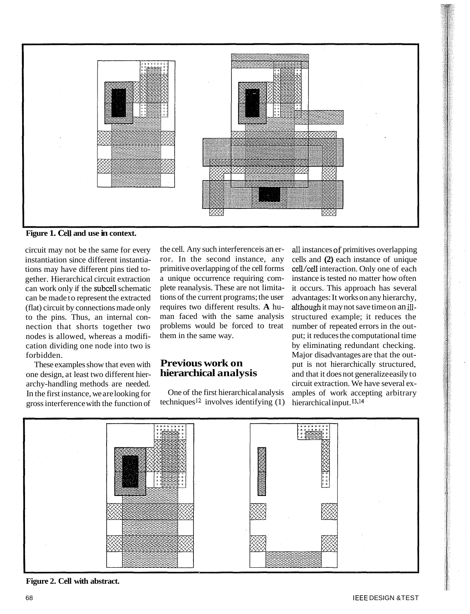

**Figure 1.** Cell **and use in context.** 

circuit may not be the same for every instantiation since different instantiations may have different pins tied together. Hierarchical circuit extraction can work only if the subcell schematic can be made to represent the extracted (flat) circuit by connections made only to the pins. Thus, an internal connection that shorts together two nodes is allowed, whereas a modification dividing one node into two is forbidden.

These examples show that even with one design, at least two different hierarchy-handling methods are needed. In the first instance, we are looking for gross interference with the function of

the cell. Any such interference is an error. In the second instance, any primitive overlapping of the cell forms a unique occurrence requiring complete reanalysis. These are not limitations of the current programs; the user requires two different results. **A** human faced with the same analysis problems would be forced to treat them in the same way.

## **Previous work on hierarchical analysis**

One of the first hierarchical analysis techniques<sup> $12$ </sup> involves identifying  $(1)$ 

all instances of' primitives overlapping cells and **(2)** each instance of unique cell/cell interaction. Only one of each instance is tested no matter how often it occurs. This approach has several advantages: It works on any hierarchy, although it may not save time on an illstructured example; it reduces the number of repeated errors in the output; it reduces the computational time by eliminating redundant checking. Major disadvantages are that the output is not hierarchically structured, and that it does not generalize easily to circuit extraction. We have several examples of work accepting arbitrary hierarchical input. **13,l4** 



**Figure 2. Cell with abstract.**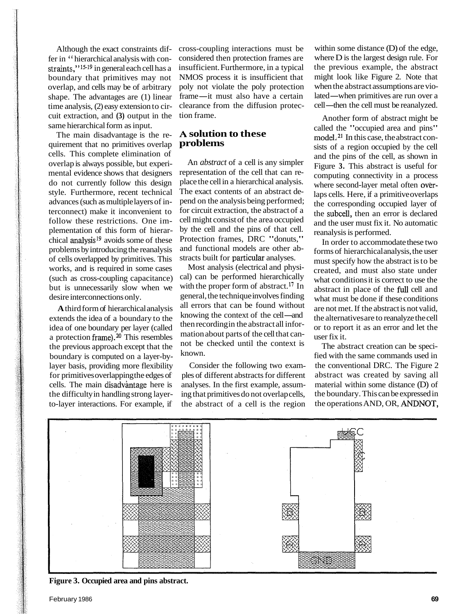Although the exact constraints differ in " hierarchical analysis with constraints,"<sup>15-19</sup> in general each cell has a boundary that primitives may not overlap, and cells may be of arbitrary shape. The advantages are (1) linear time analysis, (2) easy extension to circuit extraction, and **(3)** output in the same hierarchical form as input.

The main disadvantage is the requirement that no primitives overlap cells. This complete elimination of overlap is always possible, but experimental evidence shows that designers do not currently follow this design style. Furthermore, recent technical advances (such as multiple layers of interconnect) make it inconvenient to follow these restrictions. One implementation of this form of hierarchical analysis<sup>19</sup> avoids some of these problems by introducing the reanalysis of cells overlapped by primitives. This works, and is required in some cases (such as cross-coupling capacitance) but is unnecessarily slow when we desire interconnections only.

**A** third form of hierarchical analysis extends the idea of a boundary to the idea of one boundary per layer (called a protection frame).20 This resembles the previous approach except that the boundary is computed on a layer-bylayer basis, providing more flexibility for primitives overlapping the edges of cells. The main disadvantage here is the difficulty in handling strong layerto-layer interactions. For example, if

cross-coupling interactions must be considered then protection frames are insufficient. Furthermore, in a typical NMOS process it is insufficient that poly not violate the poly protection NMOS process it is insufficient that<br>poly not violate the poly protection<br>frame—it must also have a certain<br>elegrance from the diffusion protec clearance from the diffusion protection frame.

#### **A solution to these problems**

An *abstract* of a cell is any simpler representation of the cell that can replace the cell in a hierarchical analysis. The exact contents of an abstract depend on the analysis being performed; for circuit extraction, the abstract of a cell might consist of the area occupied by the cell and the pins of that cell. Protection frames, DRC "donuts," and functional models are other abstracts built for particular analyses.

Most analysis (electrical and physical) can be performed hierarchically with the proper form of abstract. **l7** In general, the technique involves finding all errors that can be found without general, the technique involves finding<br>all errors that can be found without<br>knowing the context of the cell—and<br>then recording in the electronial inform then recording in the abstract all information about parts of the cell that cannot be checked until the context is known.

Consider the following two examples of different abstracts for different analyses. In the first example, assuming that primitives do not overlap cells, the abstract of a cell is the region

within some distance (D) of the edge, where D is the largest design rule. For the previous example, the abstract might look like Figure 2. Note that when the abstract assumptions are viomight look like Figure 2. Note that<br>when the abstract assumptions are vio-<br>lated—when primitives are run over a<br>call then the call must be reapslyzed lated—when primitives are run over a<br>cell—then the cell must be reanalyzed.

Another form of abstract might be called the "occupied area and pins" model.21 In this case, the abstract consists of a region occupied by the cell and the pins of the cell, as shown in Figure **3.** This abstract is useful for computing connectivity in a process where second-layer metal often overlaps cells. Here, if a primitive overlaps the corresponding occupied layer of the subcell, then an error is declared and the user must fix it. No automatic reanalysis is performed.

In order to accommodate these two forms of hierarchical analysis, the user must specify how the abstract is to be created, and must also state under what conditions it is correct to use the abstract in place of the full cell and what must be done if these conditions are not met. If the abstract is not valid, the alternatives are to reanalyze the cell or to report it as an error and let the user fix it.

The abstract creation can be specified with the same commands used in the conventional DRC. The Figure 2 abstract was created by saving all material within some distance (D) of the boundary. This can be expressed in the operations AND, OR, ANDNOT,



**Figure 3. Occupied area and pins abstract.**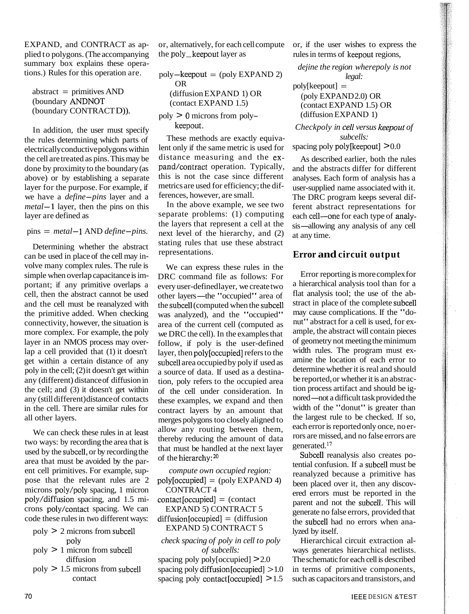EXPAND, and CONTRACT as applied to polygons. (The accompanying summary box explains these operations.) Rules for this operation are.

 $abstract = primitives AND$ (boundary ANDNOT (boundary CONTRACT D)).

In addition, the user must specify the rules determining which parts of electrically conductive polygons within the cell are treated as pins. This may be done by proximity to the boundary (as above) or by establishing a separate layer for the purpose. For example, if we have a *define-pins* layer and a we have a *define-pins* layer and a *metal*-1 layer, then the pins on this layer are defined as

pins <sup>=</sup>*metal-* 1 AND *define-pins.* 

Determining whether the abstract can be used in place of the cell may involve many complex rules. The rule is simple when overlap capacitance is important; if any primitive overlaps a cell, then the abstract cannot be used and the cell must be reanalyzed with the primitive added. When checking connectivity, however, the situation is more complex. For example, the poly layer in an NMOS process may overlap a cell provided that (1) it doesn't get within a certain distance of any poly in the cell; (2) it doesn't get within any (different) distance of diffusion in the cell; and (3) it doesn't get within any (still different) distance of contacts in the cell. There are similar rules for all other layers.

We can check these rules in at least two ways: by recording the area that is used by the subcell, or by recording the area that must be avoided by the parent cell primitives. For example, suppose that the relevant rules are 2 microns poly/poly spacing, 1 micron poly/diffusion spacing, and 1.5 microns poly/contact spacing. We can code these rules in two different ways:

- poly > 2 microns from subcell poly
- poly > 1 micron from subcell diffusion
- poly > 1.5 microns from subcell contact

or, alternatively, for each cell compute the poly- keepout layer as

 $poly$ -keepout = (poly EXPAND 2) OR (diffusion EXPAND 1) OR (contact EXPAND 1.5)

 $poly > 0$  microns from polykeepout.

These methods are exactly equivalent only if the same metric is used for distance measuring and the expand/contract operation. Typically, this is not the case since different metrics are used for efficiency; the differences, however, are small.

In the above example, we see two separate problems: (1) computing the layers that represent a cell at the next level of the hierarchy, and (2) stating rules that use these abstract representations.

We can express these rules in the DRC command file as follows: For every user-defined layer, we create two DRC command tile as follows: For<br>every user-defined layer, we create two<br>other layers—the "occupied" area of<br>the subgell (computed what the subgell the subcell (computed when the subcell was analyzed), and the "occupied" area of the current cell (computed as we DRC the cell). In the examples that follow, if poly is the user-defined layer, then poly[occupied] refers to the subcell area occupied by poly if used as a source of data. If used as a destination, poly refers to the occupied area of the cell under consideration. In these examples, we expand and then contract layers by an amount that merges polygons too closely aligned to allow any routing between them, thereby reducing the amount of data that must be handled at the next layer of the hierarchy:20

*compute own occupied region:*   $poly[occupied] = (poly EXPAND 4)$ CONTRACT 4 contact[occupied] = (contact EXPAND 5) CONTRACT 5  $diffusion[occupied] = (diffusion)$ EXPAND 5) CONTRACT 5

*check spacing of poly in cell to poly of subcells:* 

spacing poly poly [occupied]  $>2.0$ spacing poly diffusion[occupied] > 1.0 spacing poly contact [occupied]  $>1.5$ 

or, if the user wishes to express the rules in terms of keepout regions,

*dejine the region wherepoly is not legal:*   $poly[keepout] =$ 

(poly EXPAND 2.0) OR (contact EXPAND 1.5) OR (diffusion EXPAND 1)

*Checkpoly in cell versus keepout of subcells:* 

spacing poly poly[ $keepout$ ]  $> 0.0$ 

As described earlier, both the rules and the abstracts differ for different analyses. Each form of analysis has a user-supplied name associated with it. The DRC program keeps several different abstract representations for each cell-one for each type of analysis-allowing any analysis of any cell at any time.

## **Error and circuit output**

Error reporting is more complex for a hierarchical analysis tool than for a flat analysis tool; the use of the abstract in place of the complete subcell may cause complications. If the "donut" abstract for a cell is used, for example, the abstract will contain pieces of geometry not meeting the minimum width rules. The program must examine the location of each error to determine whether it is real and should be reported, or whether it is an abstraction process artifact and should be ignored-not a difficult task provided the width of the "donut" is greater than the largest rule to be checked. If so, each error is reported only once, no errors are missed, and no false errors are generated. **l7** 

Subcell reanalysis also creates potential confusion. If a subcell must be reanalyzed because a primitive has been placed over it, then any discovered errors must be reported in the parent and not the subcell. This will generate no false errors, provided that the subcell had no errors when analyzed by itself.

Hierarchical circuit extraction always generates hierarchical netlists. The schematic for each cell is described in terms of primitive components, such as capacitors and transistors, and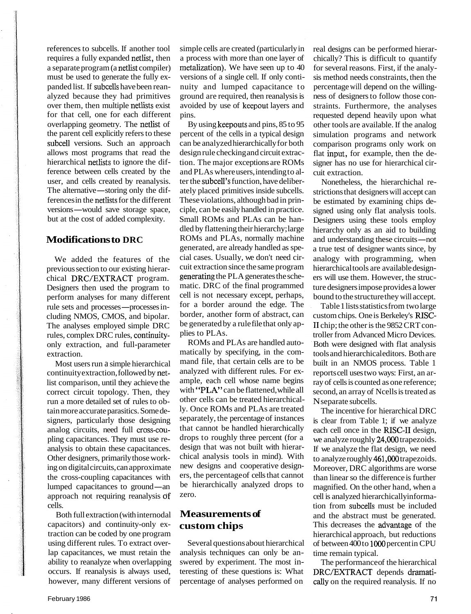references to subcells. If another tool requires a fully expanded netlist, then a separate program (a netlist compiler) must be used to generate the fully expanded list. If subcells have been reanalyzed because they had primitives over them, then multiple netlists exist for that cell, one for each different overlapping geometry. The netlist of the parent cell explicitly refers to these subcell versions. Such an approach allows most programs that read the hierarchical netlists to ignore the difference between cells created by the user, and cells created by reanalysis. The alternative-storing only the<br>the alternative-storing only the dif-<br>ferences in the pathta for the different ferences in the netlists for the different The alternative—storing only the differences in the netlists for the different versions—would save storage space, but at the cost of added complexity.

#### **Modifications to DRC**

We added the features of the previous section to our existing hierarchical DRC/EXTRACT program. Designers then used the program to perform analyses for many different Designers then used the program to<br>perform analyses for many different<br>rule sets and processes—processes including NMOS, CMOS, and bipolar. The analyses employed simple DRC rules, complex DRC rules, continuityonly extraction, and full-parameter extraction.

Most users run a simple hierarchical continuity extraction, followed by netlist comparison, until they achieve the correct circuit topology. Then, they run a more detailed set of rules to obtain more accurate parasitics. Some designers, particularly those designing analog circuits, need full cross-coupling capacitances. They must use reanalysis to obtain these capacitances. Other designers, primarily those working on digital circuits, can approximate Ing on digital circuits, can approximate<br>the cross-coupling capacitances with<br>lumped capacitances to ground—an<br>annual and manufacture consistents approach not requiring reanalysis of cells.

Both full extraction (with internodal capacitors) and continuity-only extraction can be coded by one program using different rules. To extract overlap capacitances, we must retain the ability to reanalyze when overlapping occurs. If reanalysis is always used, however, many different versions of

simple cells are created (particularly in a process with more than one layer of metalization). We have seen up to 40 versions of a single cell. If only continuity and lumped capacitance to ground are required, then reanalysis is avoided by use of keepout layers and pins.

By using keepouts and pins, 85 to 95 percent of the cells in a typical design can be analyzed hierarchically for both design rule checking and circuit extraction. The major exceptions are ROMs and PLAs where users, intending to alter the subcell's function, have deliberately placed primitives inside subcells. These violations, although bad in principle, can be easily handled in practice. Small ROMs and PLAs can be handled by flattening their hierarchy; large ROMs and PLAs, normally machine generated, are already handled as special cases. Usually, we don't need circuit extraction since the same program generating the PLA generates the schematic. DRC of the final programmed cell is not necessary except, perhaps, for a border around the edge. The border, another form of abstract, can be generated by a rule file that only applies to PLAs.

ROMs and PLAs are handled automatically by specifying, in the command file, that certain cells are to be analyzed with different rules. For example, each cell whose name begins with "PLA" can be flattened, while all other cells can be treated hierarchically. Once ROMs and PLAs are treated separately, the percentage of instances that cannot be handled hierarchically drops to roughly three percent (for a design that was not built with hierarchical analysis tools in mind). With new designs and cooperative designers, the percentage of cells that cannot be hierarchically analyzed drops to zero.

## **Measurements of custom chips**

Several questions about hierarchical analysis techniques can only be answered by experiment. The most interesting of these questions is: What percentage of analyses performed on

real designs can be performed hierarchically? This is difficult to quantify for several reasons. First, if the analysis method needs constraints, then the percentage will depend on the willingness of designers to follow those constraints. Furthermore, the analyses requested depend heavily upon what other tools are available. If the analog simulation programs and network comparison programs only work on flat input, for example, then the designer has no use for hierarchical circuit extraction.

Nonetheless, the hierarchichal restrictions that designers will accept can be estimated by examining chips designed using only flat analysis tools. Designers using these tools employ Designers using these tools employ<br>hierarchy only as an aid to building<br>and understanding these circuits—not a true test of designer wants since, by analogy with programming, when hierarchical tools are available designers will use them. However, the structure designers impose provides a lower bound to the structure they will accept.

Table 1 lists statistics from two large custom chips. One is Berkeley's RISC-I1 chip; the other is the 9852 CRT controller from Advanced Micro Devices. Both were designed with flat analysis tools and hierarchical editors. Both are built in an NMOS process. Table 1 reports cell uses two ways: First, an array of cells is counted as one reference; second, an array of Ncells is treated as N separate subcells.

The incentive for hierarchical DRC is clear from Table 1; if we analyze each cell once in the RISC-I1 design, we analyze roughly 24,000 trapezoids. If we analyze the flat design, we need to analyze roughly 461,000 trapezoids. Moreover, DRC algorithms are worse than linear so the difference is further magnified. On the other hand, when a cell is analyzed hierarchically information from subcells must be included and the abstract must be generated. This decreases the advantage of the hierarchical approach, but reductions of between 400 to 1000 percent in CPU time remain typical.

The performance of the hierarchical DRC/EXTRACT depends dramatically on the required reanalysis. If no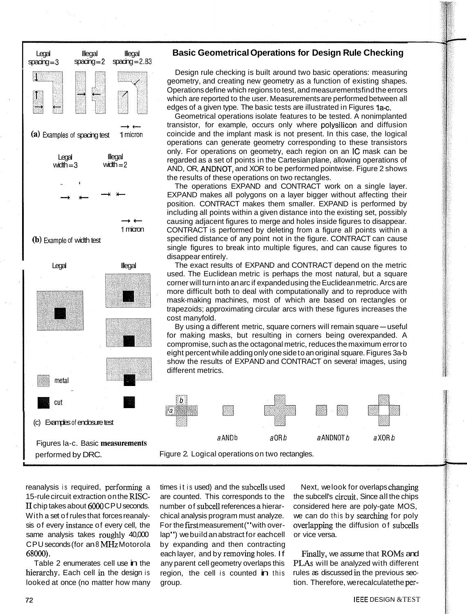

### **Basic Geometrical Operations for Design Rule Checking**

Design rule checking is built around two basic operations: measuring geometry, and creating new geometry as a function of existing shapes. Operations define which regions to test, and measurements find the errors which are reported to the user. Measurements are performed between all edges of a given type. The basic tests are illustrated in Figures 1a-c.

Geometrical operations isolate features to be tested. A nonimplanted transistor, for example, occurs only where polysilicon and diffusion coincide and the implant mask is not present. In this case, the logical operations can generate geometry corresponding to these transistors only. For operations on geometry, each region on an IC mask can be regarded as a set of points in the Cartesian plane, allowing operations of AND, OR, ANDNOT, and XOR to be performed pointwise. Figure 2 shows the results of these operations on two rectangles.

The operations EXPAND and CONTRACT work on a single layer. EXPAND makes all polygons on a layer bigger without affecting their position. CONTRACT makes them smaller. EXPAND is performed by including all points within a given distance into the existing set, possibly causing adjacent figures to merge and holes inside figures to disappear. CONTRACT is performed by deleting from a figure all points within a specified distance of any point not in the figure. CONTRACT can cause single figures to break into multiple figures, and can cause figures to disappear entirely.

The exact results of EXPAND and CONTRACT depend on the metric used. The Euclidean metric is perhaps the most natural, but a square corner will turn into an arc if expanded using the Euclidean metric. Arcs are more difficult both to deal with computationally and to reproduce with mask-making machines, most of which are based on rectangles or trapezoids; approximating circular arcs with these figures increases the cost manyfold.

By using a different metric, square corners will remain square — useful for making masks, but resulting in corners being overexpanded. A compromise, such as the octagonal metric, reduces the maximum error to eight percent while adding only one side to an original square. Figures 3a-b show the results of EXPAND and CONTRACT on severa! images, using different metrics.



reanalysis is required, performing a 15-rule circuit extraction on the RISC-II chip takes about 6000 CPU seconds. With a set of rules that forces reanalysis of every instance of every cell, the same analysis takes roughly 40,000 CPU seconds (for an 8 MHz Motorola 68000).

Table 2 enumerates cell use in the hierarchy. Each cell in the design is looked at once (no matter how many

times it is used) and the subcells used are counted. This corresponds to the number of subcell references a hierarchical analysis program must analyze. For the first measurement ("with overlap") we build an abstract for each cell by expanding and then contracting each layer, and by removing holes. If any parent cell geometry overlaps this region, the cell is counted in this group.

Next, we look for overlaps changing the subcell's circuit. Since all the chips considered here are poly-gate MOS, we can do this by searching for poly overlapping the diffusion of subcells or vice versa.

Finally, we assume that ROMs and PLAs will be analyzed with different rules as discussed in the previous section. Therefore, we recalculate the per-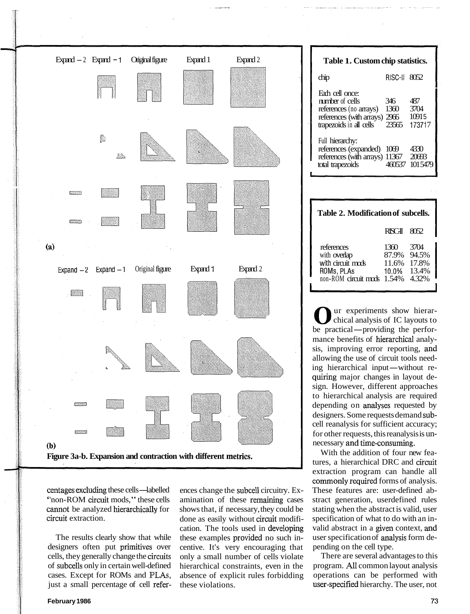

centages excluding these cells-labelled ' 'non-ROM circuit mods," these cells cannot be analyzed hierarchically for circuit extraction.

The results clearly show that while designers often put primitives over cells, they generally change the circuits of subcells only in certain well-defined cases. Except for ROMs and **PLAs,**  just a small percentage of cell references change the subcell circuitry. Examination of these remaining cases shows that, if necessary, they could be done as easily without circuit modification. The tools used in developing these examples provided no such incentive. It's very encouraging that only a small number of cells violate hierarchical constraints, even in the absence of explicit rules forbidding these violations.

| Table 1. Custom chip statistics.                                                                                    |                              |                                 |  |
|---------------------------------------------------------------------------------------------------------------------|------------------------------|---------------------------------|--|
| chip                                                                                                                | RISC-II                      | 8052                            |  |
| Fath cell once:<br>number of cells<br>references (no arrays)<br>references (with arrays)<br>trapezoids in all cells | 346<br>1360<br>2966<br>23565 | 487<br>3704<br>10915<br>173717  |  |
| Full hierarchy:<br>references (expanded)<br>references (with arrays) 11367<br>total trapezoids                      | 1069                         | 4330<br>20693<br>460537 1015479 |  |
|                                                                                                                     |                              |                                 |  |

Ľ

| Table 2. Modification of subcells.                                                             |                                 |                                         |  |
|------------------------------------------------------------------------------------------------|---------------------------------|-----------------------------------------|--|
|                                                                                                | RISCHI 8052                     |                                         |  |
| references<br>with overlap<br>with circuit mods<br>ROMs, PLAs<br>non-ROM circuit mork $1.54\%$ | 1360<br>87.9%<br>11.6%<br>10.0% | 3704<br>94.5%<br>17.8%<br>13.4%<br>432% |  |

ur experiments show hierarchical analysis of IC layouts to be practical—providing the performance benefits of hierarchical analysis, improving error reporting, and allowing the use of circuit tools needing hierarchical input—without requiring major changes in layout design. However, different approaches to hierarchical analysis are required depending on analyses requested by designers. Some requests demand subcell reanalysis for sufficient accuracy; for other requests, this reanalysis is unnecessary and time-consuming.

With the addition of four new features, a hierarchical DRC and circuit extraction program can handle all commonly required forms of analysis. These features are: user-defined abstract generation, userdefined rules stating when the abstract is valid, user specification of what to do with an invalid abstract in a given context, and user specification of analysis form depending on the cell type.

There are several advantages to this program. AU common layout analysis operations can be performed with user-specified hierarchy. The user, not